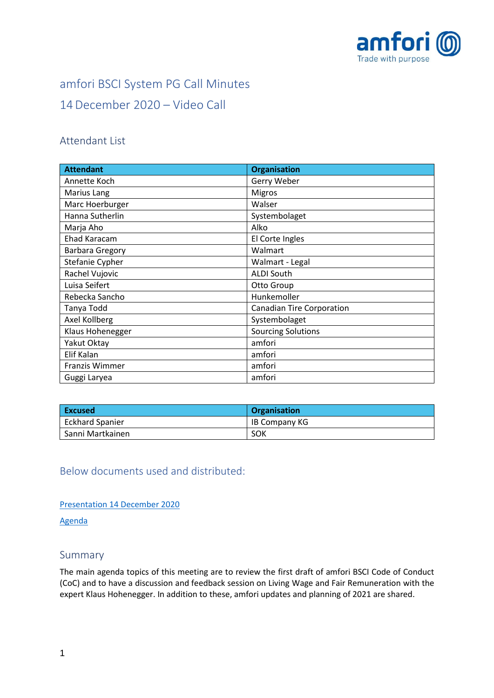

# amfori BSCI System PG Call Minutes 14December 2020 – Video Call

## Attendant List

| <b>Attendant</b>       | <b>Organisation</b>              |
|------------------------|----------------------------------|
| Annette Koch           | Gerry Weber                      |
| Marius Lang            | <b>Migros</b>                    |
| Marc Hoerburger        | Walser                           |
| Hanna Sutherlin        | Systembolaget                    |
| Marja Aho              | Alko                             |
| <b>Ehad Karacam</b>    | El Corte Ingles                  |
| <b>Barbara Gregory</b> | Walmart                          |
| Stefanie Cypher        | Walmart - Legal                  |
| Rachel Vujovic         | <b>ALDI South</b>                |
| Luisa Seifert          | Otto Group                       |
| Rebecka Sancho         | Hunkemoller                      |
| Tanya Todd             | <b>Canadian Tire Corporation</b> |
| Axel Kollberg          | Systembolaget                    |
| Klaus Hohenegger       | <b>Sourcing Solutions</b>        |
| Yakut Oktay            | amfori                           |
| Elif Kalan             | amfori                           |
| Franzis Wimmer         | amfori                           |
| Guggi Laryea           | amfori                           |

| <b>Excused</b>         | Organisation  |
|------------------------|---------------|
| <b>Eckhard Spanier</b> | IB Company KG |
| Sanni Martkainen       | SOK           |

Below documents used and distributed:

[Presentation](https://foreigntradeassociation.sharepoint.com/:b:/r/sites/PGC/Meeting%20Minutes/2020/09%20-%2014%20December%202020%20Call/14122020_amfori%20BSCI%20System%20PG%20Call_14%20Dec.pdf?csf=1&web=1&e=kHebVz) 14 December 2020

[Agenda](https://foreigntradeassociation.sharepoint.com/:w:/r/sites/PGC/_layouts/15/Doc.aspx?sourcedoc=%7BC9FB5177-F759-4BB0-9804-27C298CA5252%7D&file=14122020_amfori%20System%20PG%20Call%20December%202020%20Agenda.docx&action=default&mobileredirect=true)

## Summary

The main agenda topics of this meeting are to review the first draft of amfori BSCI Code of Conduct (CoC) and to have a discussion and feedback session on Living Wage and Fair Remuneration with the expert Klaus Hohenegger. In addition to these, amfori updates and planning of 2021 are shared.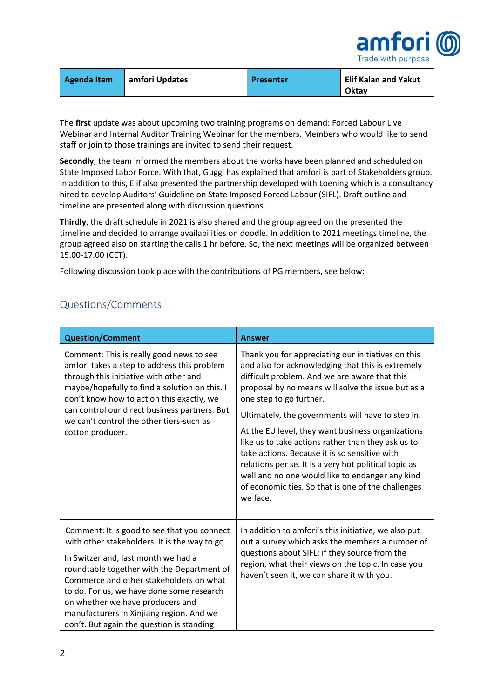

| Agenda Item | amfori Updates | Presenter | <b>Elif Kalan and Yakut</b> |
|-------------|----------------|-----------|-----------------------------|
|             |                |           | Oktay                       |

The **first** update was about upcoming two training programs on demand: Forced Labour Live Webinar and Internal Auditor Training Webinar for the members. Members who would like to send staff or join to those trainings are invited to send their request.

**Secondly**, the team informed the members about the works have been planned and scheduled on State Imposed Labor Force. With that, Guggi has explained that amfori is part of Stakeholders group. In addition to this, Elif also presented the partnership developed with Loening which is a consultancy hired to develop Auditors' Guideline on State Imposed Forced Labour (SIFL). Draft outline and timeline are presented along with discussion questions.

**Thirdly**, the draft schedule in 2021 is also shared and the group agreed on the presented the timeline and decided to arrange availabilities on doodle. In addition to 2021 meetings timeline, the group agreed also on starting the calls 1 hr before. So, the next meetings will be organized between 15.00-17.00 (CET).

Following discussion took place with the contributions of PG members, see below:

## Questions/Comments

| <b>Question/Comment</b>                                                                                                                                                                                                                                                                                                                                                                                | <b>Answer</b>                                                                                                                                                                                                                                                                                                                                                                                                                                                                                                                                                                                                                            |
|--------------------------------------------------------------------------------------------------------------------------------------------------------------------------------------------------------------------------------------------------------------------------------------------------------------------------------------------------------------------------------------------------------|------------------------------------------------------------------------------------------------------------------------------------------------------------------------------------------------------------------------------------------------------------------------------------------------------------------------------------------------------------------------------------------------------------------------------------------------------------------------------------------------------------------------------------------------------------------------------------------------------------------------------------------|
| Comment: This is really good news to see<br>amfori takes a step to address this problem<br>through this initiative with other and<br>maybe/hopefully to find a solution on this. I<br>don't know how to act on this exactly, we<br>can control our direct business partners. But<br>we can't control the other tiers-such as<br>cotton producer.                                                       | Thank you for appreciating our initiatives on this<br>and also for acknowledging that this is extremely<br>difficult problem. And we are aware that this<br>proposal by no means will solve the issue but as a<br>one step to go further.<br>Ultimately, the governments will have to step in.<br>At the EU level, they want business organizations<br>like us to take actions rather than they ask us to<br>take actions. Because it is so sensitive with<br>relations per se. It is a very hot political topic as<br>well and no one would like to endanger any kind<br>of economic ties. So that is one of the challenges<br>we face. |
| Comment: It is good to see that you connect<br>with other stakeholders. It is the way to go.<br>In Switzerland, last month we had a<br>roundtable together with the Department of<br>Commerce and other stakeholders on what<br>to do. For us, we have done some research<br>on whether we have producers and<br>manufacturers in Xinjiang region. And we<br>don't. But again the question is standing | In addition to amfori's this initiative, we also put<br>out a survey which asks the members a number of<br>questions about SIFL; if they source from the<br>region, what their views on the topic. In case you<br>haven't seen it, we can share it with you.                                                                                                                                                                                                                                                                                                                                                                             |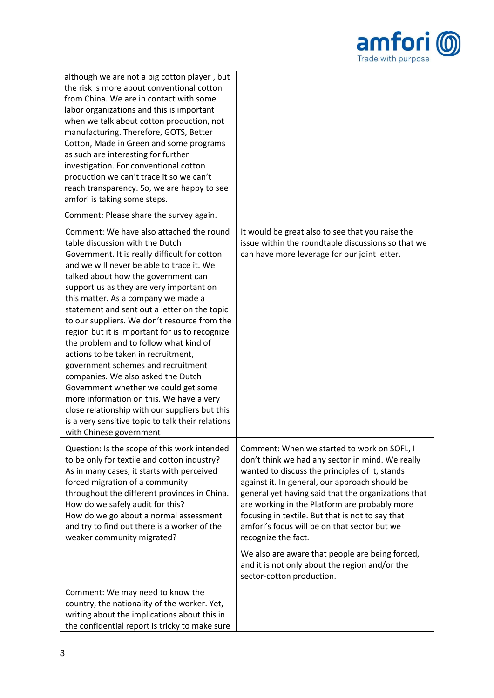

| although we are not a big cotton player, but<br>the risk is more about conventional cotton<br>from China. We are in contact with some<br>labor organizations and this is important<br>when we talk about cotton production, not<br>manufacturing. Therefore, GOTS, Better<br>Cotton, Made in Green and some programs<br>as such are interesting for further<br>investigation. For conventional cotton<br>production we can't trace it so we can't<br>reach transparency. So, we are happy to see<br>amfori is taking some steps.                                                                                                                                                                                                                                                                                                         |                                                                                                                                                                                                                                                                                                                                                                                                                                                                                                                                                                          |
|------------------------------------------------------------------------------------------------------------------------------------------------------------------------------------------------------------------------------------------------------------------------------------------------------------------------------------------------------------------------------------------------------------------------------------------------------------------------------------------------------------------------------------------------------------------------------------------------------------------------------------------------------------------------------------------------------------------------------------------------------------------------------------------------------------------------------------------|--------------------------------------------------------------------------------------------------------------------------------------------------------------------------------------------------------------------------------------------------------------------------------------------------------------------------------------------------------------------------------------------------------------------------------------------------------------------------------------------------------------------------------------------------------------------------|
| Comment: Please share the survey again.                                                                                                                                                                                                                                                                                                                                                                                                                                                                                                                                                                                                                                                                                                                                                                                                  |                                                                                                                                                                                                                                                                                                                                                                                                                                                                                                                                                                          |
| Comment: We have also attached the round<br>table discussion with the Dutch<br>Government. It is really difficult for cotton<br>and we will never be able to trace it. We<br>talked about how the government can<br>support us as they are very important on<br>this matter. As a company we made a<br>statement and sent out a letter on the topic<br>to our suppliers. We don't resource from the<br>region but it is important for us to recognize<br>the problem and to follow what kind of<br>actions to be taken in recruitment,<br>government schemes and recruitment<br>companies. We also asked the Dutch<br>Government whether we could get some<br>more information on this. We have a very<br>close relationship with our suppliers but this<br>is a very sensitive topic to talk their relations<br>with Chinese government | It would be great also to see that you raise the<br>issue within the roundtable discussions so that we<br>can have more leverage for our joint letter.                                                                                                                                                                                                                                                                                                                                                                                                                   |
| Question: Is the scope of this work intended<br>to be only for textile and cotton industry?<br>As in many cases, it starts with perceived<br>forced migration of a community<br>throughout the different provinces in China.<br>How do we safely audit for this?<br>How do we go about a normal assessment<br>and try to find out there is a worker of the<br>weaker community migrated?                                                                                                                                                                                                                                                                                                                                                                                                                                                 | Comment: When we started to work on SOFL, I<br>don't think we had any sector in mind. We really<br>wanted to discuss the principles of it, stands<br>against it. In general, our approach should be<br>general yet having said that the organizations that<br>are working in the Platform are probably more<br>focusing in textile. But that is not to say that<br>amfori's focus will be on that sector but we<br>recognize the fact.<br>We also are aware that people are being forced,<br>and it is not only about the region and/or the<br>sector-cotton production. |
| Comment: We may need to know the<br>country, the nationality of the worker. Yet,<br>writing about the implications about this in<br>the confidential report is tricky to make sure                                                                                                                                                                                                                                                                                                                                                                                                                                                                                                                                                                                                                                                       |                                                                                                                                                                                                                                                                                                                                                                                                                                                                                                                                                                          |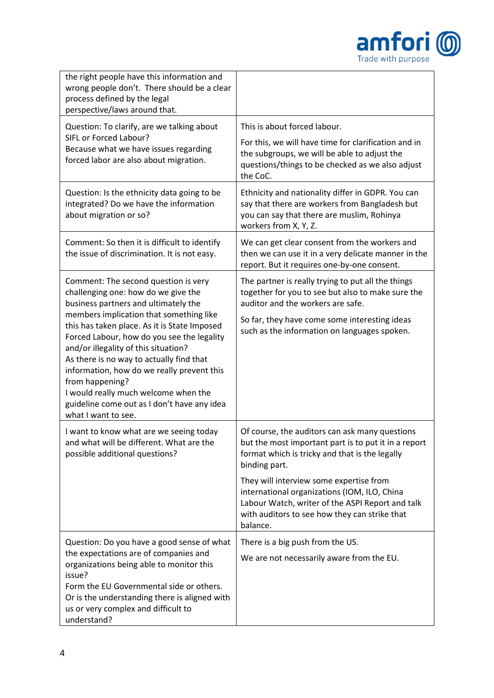

| the right people have this information and<br>wrong people don't. There should be a clear<br>process defined by the legal<br>perspective/laws around that.                                                                                                                                                                                                                                                                                                                                                                      |                                                                                                                                                                                                                                                                                                                                                                                       |
|---------------------------------------------------------------------------------------------------------------------------------------------------------------------------------------------------------------------------------------------------------------------------------------------------------------------------------------------------------------------------------------------------------------------------------------------------------------------------------------------------------------------------------|---------------------------------------------------------------------------------------------------------------------------------------------------------------------------------------------------------------------------------------------------------------------------------------------------------------------------------------------------------------------------------------|
| Question: To clarify, are we talking about                                                                                                                                                                                                                                                                                                                                                                                                                                                                                      | This is about forced labour.                                                                                                                                                                                                                                                                                                                                                          |
| SIFL or Forced Labour?<br>Because what we have issues regarding<br>forced labor are also about migration.                                                                                                                                                                                                                                                                                                                                                                                                                       | For this, we will have time for clarification and in<br>the subgroups, we will be able to adjust the<br>questions/things to be checked as we also adjust<br>the CoC.                                                                                                                                                                                                                  |
| Question: Is the ethnicity data going to be<br>integrated? Do we have the information<br>about migration or so?                                                                                                                                                                                                                                                                                                                                                                                                                 | Ethnicity and nationality differ in GDPR. You can<br>say that there are workers from Bangladesh but<br>you can say that there are muslim, Rohinya<br>workers from X, Y, Z.                                                                                                                                                                                                            |
| Comment: So then it is difficult to identify<br>the issue of discrimination. It is not easy.                                                                                                                                                                                                                                                                                                                                                                                                                                    | We can get clear consent from the workers and<br>then we can use it in a very delicate manner in the<br>report. But it requires one-by-one consent.                                                                                                                                                                                                                                   |
| Comment: The second question is very<br>challenging one: how do we give the<br>business partners and ultimately the<br>members implication that something like<br>this has taken place. As it is State Imposed<br>Forced Labour, how do you see the legality<br>and/or illegality of this situation?<br>As there is no way to actually find that<br>information, how do we really prevent this<br>from happening?<br>I would really much welcome when the<br>guideline come out as I don't have any idea<br>what I want to see. | The partner is really trying to put all the things<br>together for you to see but also to make sure the<br>auditor and the workers are safe.<br>So far, they have come some interesting ideas<br>such as the information on languages spoken.                                                                                                                                         |
| I want to know what are we seeing today<br>and what will be different. What are the<br>possible additional questions?                                                                                                                                                                                                                                                                                                                                                                                                           | Of course, the auditors can ask many questions<br>but the most important part is to put it in a report<br>format which is tricky and that is the legally<br>binding part.<br>They will interview some expertise from<br>international organizations (IOM, ILO, China<br>Labour Watch, writer of the ASPI Report and talk<br>with auditors to see how they can strike that<br>balance. |
| Question: Do you have a good sense of what<br>the expectations are of companies and<br>organizations being able to monitor this<br>issue?<br>Form the EU Governmental side or others.<br>Or is the understanding there is aligned with<br>us or very complex and difficult to<br>understand?                                                                                                                                                                                                                                    | There is a big push from the US.<br>We are not necessarily aware from the EU.                                                                                                                                                                                                                                                                                                         |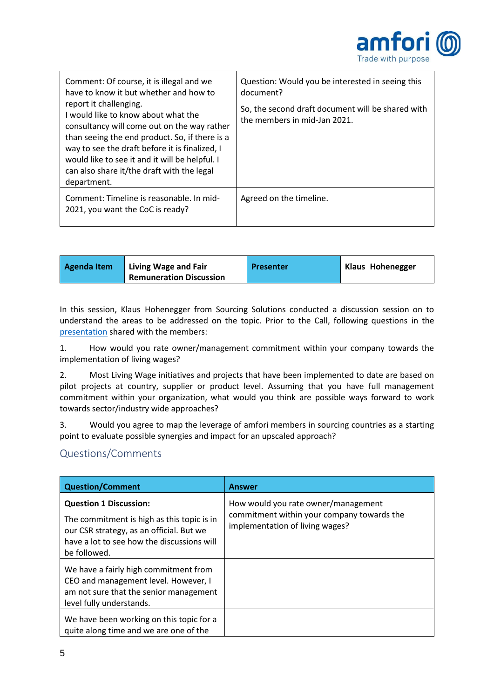

| Comment: Of course, it is illegal and we<br>have to know it but whether and how to<br>report it challenging.<br>I would like to know about what the<br>consultancy will come out on the way rather<br>than seeing the end product. So, if there is a<br>way to see the draft before it is finalized, I<br>would like to see it and it will be helpful. I<br>can also share it/the draft with the legal<br>department. | Question: Would you be interested in seeing this<br>document?<br>So, the second draft document will be shared with<br>the members in mid-Jan 2021. |
|-----------------------------------------------------------------------------------------------------------------------------------------------------------------------------------------------------------------------------------------------------------------------------------------------------------------------------------------------------------------------------------------------------------------------|----------------------------------------------------------------------------------------------------------------------------------------------------|
| Comment: Timeline is reasonable. In mid-<br>2021, you want the CoC is ready?                                                                                                                                                                                                                                                                                                                                          | Agreed on the timeline.                                                                                                                            |

| Living Wage and Fair<br>Agenda Item<br><b>Remuneration Discussion</b> | Presenter | <b>Klaus Hohenegger</b> |
|-----------------------------------------------------------------------|-----------|-------------------------|
|-----------------------------------------------------------------------|-----------|-------------------------|

In this session, Klaus Hohenegger from Sourcing Solutions conducted a discussion session on to understand the areas to be addressed on the topic. Prior to the Call, following questions in the [presentation](https://foreigntradeassociation.sharepoint.com/sites/PGC/Meeting%20Minutes/2020/09%20-%2014%20December%202020%20Call/Living%20Wage_20_12_14%20amfori%20BSCI%20System%20Project%20Group%20Meeting.pdf) shared with the members:

1. How would you rate owner/management commitment within your company towards the implementation of living wages?

2. Most Living Wage initiatives and projects that have been implemented to date are based on pilot projects at country, supplier or product level. Assuming that you have full management commitment within your organization, what would you think are possible ways forward to work towards sector/industry wide approaches?

3. Would you agree to map the leverage of amfori members in sourcing countries as a starting point to evaluate possible synergies and impact for an upscaled approach?

## Questions/Comments

| Question/Comment                                                                                                                                                                      | <b>Answer</b>                                                                                                        |
|---------------------------------------------------------------------------------------------------------------------------------------------------------------------------------------|----------------------------------------------------------------------------------------------------------------------|
| <b>Question 1 Discussion:</b><br>The commitment is high as this topic is in<br>our CSR strategy, as an official. But we<br>have a lot to see how the discussions will<br>be followed. | How would you rate owner/management<br>commitment within your company towards the<br>implementation of living wages? |
| We have a fairly high commitment from<br>CEO and management level. However, I<br>am not sure that the senior management<br>level fully understands.                                   |                                                                                                                      |
| We have been working on this topic for a<br>quite along time and we are one of the                                                                                                    |                                                                                                                      |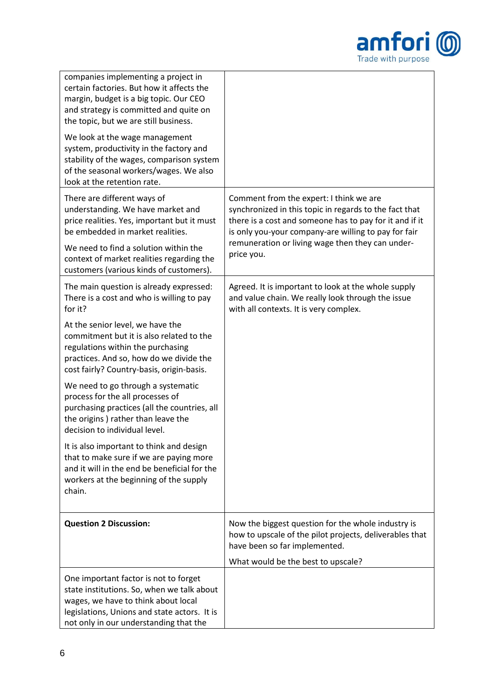

| companies implementing a project in<br>certain factories. But how it affects the<br>margin, budget is a big topic. Our CEO<br>and strategy is committed and quite on<br>the topic, but we are still business.<br>We look at the wage management<br>system, productivity in the factory and<br>stability of the wages, comparison system<br>of the seasonal workers/wages. We also<br>look at the retention rate. |                                                                                                                                                                                                                                                                                        |
|------------------------------------------------------------------------------------------------------------------------------------------------------------------------------------------------------------------------------------------------------------------------------------------------------------------------------------------------------------------------------------------------------------------|----------------------------------------------------------------------------------------------------------------------------------------------------------------------------------------------------------------------------------------------------------------------------------------|
| There are different ways of<br>understanding. We have market and<br>price realities. Yes, important but it must<br>be embedded in market realities.<br>We need to find a solution within the<br>context of market realities regarding the<br>customers (various kinds of customers).                                                                                                                             | Comment from the expert: I think we are<br>synchronized in this topic in regards to the fact that<br>there is a cost and someone has to pay for it and if it<br>is only you-your company-are willing to pay for fair<br>remuneration or living wage then they can under-<br>price you. |
| The main question is already expressed:<br>There is a cost and who is willing to pay<br>for it?                                                                                                                                                                                                                                                                                                                  | Agreed. It is important to look at the whole supply<br>and value chain. We really look through the issue<br>with all contexts. It is very complex.                                                                                                                                     |
| At the senior level, we have the<br>commitment but it is also related to the<br>regulations within the purchasing<br>practices. And so, how do we divide the<br>cost fairly? Country-basis, origin-basis.                                                                                                                                                                                                        |                                                                                                                                                                                                                                                                                        |
| We need to go through a systematic<br>process for the all processes of<br>purchasing practices (all the countries, all<br>the origins) rather than leave the<br>decision to individual level.                                                                                                                                                                                                                    |                                                                                                                                                                                                                                                                                        |
| It is also important to think and design<br>that to make sure if we are paying more<br>and it will in the end be beneficial for the<br>workers at the beginning of the supply<br>chain.                                                                                                                                                                                                                          |                                                                                                                                                                                                                                                                                        |
| <b>Question 2 Discussion:</b>                                                                                                                                                                                                                                                                                                                                                                                    | Now the biggest question for the whole industry is<br>how to upscale of the pilot projects, deliverables that<br>have been so far implemented.<br>What would be the best to upscale?                                                                                                   |
| One important factor is not to forget<br>state institutions. So, when we talk about<br>wages, we have to think about local<br>legislations, Unions and state actors. It is<br>not only in our understanding that the                                                                                                                                                                                             |                                                                                                                                                                                                                                                                                        |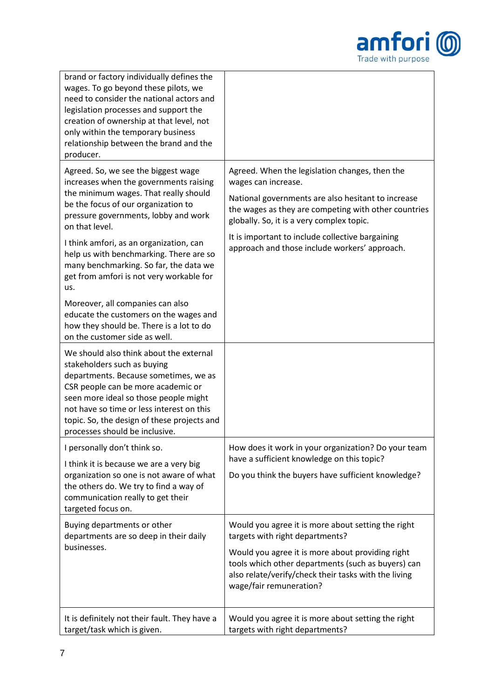

| brand or factory individually defines the<br>wages. To go beyond these pilots, we<br>need to consider the national actors and<br>legislation processes and support the<br>creation of ownership at that level, not<br>only within the temporary business<br>relationship between the brand and the<br>producer.                                                                                     |                                                                                                                                                                                                                                                                                                                                       |
|-----------------------------------------------------------------------------------------------------------------------------------------------------------------------------------------------------------------------------------------------------------------------------------------------------------------------------------------------------------------------------------------------------|---------------------------------------------------------------------------------------------------------------------------------------------------------------------------------------------------------------------------------------------------------------------------------------------------------------------------------------|
| Agreed. So, we see the biggest wage<br>increases when the governments raising<br>the minimum wages. That really should<br>be the focus of our organization to<br>pressure governments, lobby and work<br>on that level.<br>I think amfori, as an organization, can<br>help us with benchmarking. There are so<br>many benchmarking. So far, the data we<br>get from amfori is not very workable for | Agreed. When the legislation changes, then the<br>wages can increase.<br>National governments are also hesitant to increase<br>the wages as they are competing with other countries<br>globally. So, it is a very complex topic.<br>It is important to include collective bargaining<br>approach and those include workers' approach. |
| us.<br>Moreover, all companies can also<br>educate the customers on the wages and<br>how they should be. There is a lot to do<br>on the customer side as well.                                                                                                                                                                                                                                      |                                                                                                                                                                                                                                                                                                                                       |
| We should also think about the external<br>stakeholders such as buying<br>departments. Because sometimes, we as<br>CSR people can be more academic or<br>seen more ideal so those people might<br>not have so time or less interest on this<br>topic. So, the design of these projects and<br>processes should be inclusive.                                                                        |                                                                                                                                                                                                                                                                                                                                       |
| I personally don't think so.<br>I think it is because we are a very big<br>organization so one is not aware of what<br>the others do. We try to find a way of<br>communication really to get their<br>targeted focus on.                                                                                                                                                                            | How does it work in your organization? Do your team<br>have a sufficient knowledge on this topic?<br>Do you think the buyers have sufficient knowledge?                                                                                                                                                                               |
| Buying departments or other<br>departments are so deep in their daily<br>businesses.                                                                                                                                                                                                                                                                                                                | Would you agree it is more about setting the right<br>targets with right departments?<br>Would you agree it is more about providing right<br>tools which other departments (such as buyers) can<br>also relate/verify/check their tasks with the living<br>wage/fair remuneration?                                                    |
| It is definitely not their fault. They have a<br>target/task which is given.                                                                                                                                                                                                                                                                                                                        | Would you agree it is more about setting the right<br>targets with right departments?                                                                                                                                                                                                                                                 |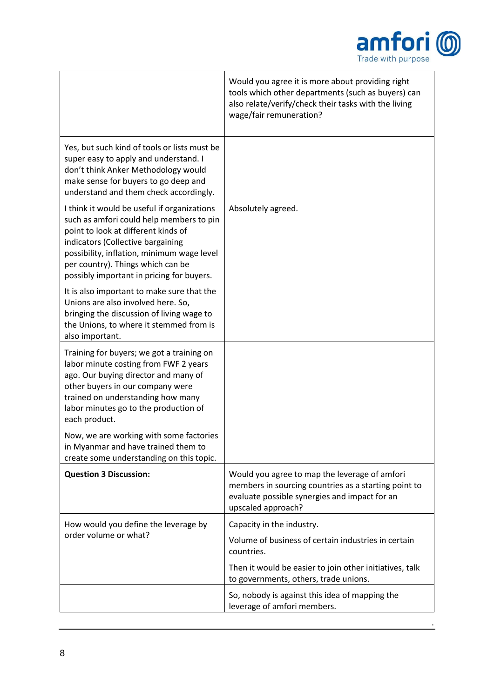

.

|                                                                                                                                                                                                                                                                                                     | Would you agree it is more about providing right<br>tools which other departments (such as buyers) can<br>also relate/verify/check their tasks with the living<br>wage/fair remuneration? |
|-----------------------------------------------------------------------------------------------------------------------------------------------------------------------------------------------------------------------------------------------------------------------------------------------------|-------------------------------------------------------------------------------------------------------------------------------------------------------------------------------------------|
| Yes, but such kind of tools or lists must be<br>super easy to apply and understand. I<br>don't think Anker Methodology would<br>make sense for buyers to go deep and<br>understand and them check accordingly.                                                                                      |                                                                                                                                                                                           |
| I think it would be useful if organizations<br>such as amfori could help members to pin<br>point to look at different kinds of<br>indicators (Collective bargaining<br>possibility, inflation, minimum wage level<br>per country). Things which can be<br>possibly important in pricing for buyers. | Absolutely agreed.                                                                                                                                                                        |
| It is also important to make sure that the<br>Unions are also involved here. So,<br>bringing the discussion of living wage to<br>the Unions, to where it stemmed from is<br>also important.                                                                                                         |                                                                                                                                                                                           |
| Training for buyers; we got a training on<br>labor minute costing from FWF 2 years<br>ago. Our buying director and many of<br>other buyers in our company were<br>trained on understanding how many<br>labor minutes go to the production of<br>each product.                                       |                                                                                                                                                                                           |
| Now, we are working with some factories<br>in Myanmar and have trained them to<br>create some understanding on this topic.                                                                                                                                                                          |                                                                                                                                                                                           |
| <b>Question 3 Discussion:</b>                                                                                                                                                                                                                                                                       | Would you agree to map the leverage of amfori<br>members in sourcing countries as a starting point to<br>evaluate possible synergies and impact for an<br>upscaled approach?              |
| How would you define the leverage by                                                                                                                                                                                                                                                                | Capacity in the industry.                                                                                                                                                                 |
| order volume or what?                                                                                                                                                                                                                                                                               | Volume of business of certain industries in certain<br>countries.                                                                                                                         |
|                                                                                                                                                                                                                                                                                                     | Then it would be easier to join other initiatives, talk<br>to governments, others, trade unions.                                                                                          |
|                                                                                                                                                                                                                                                                                                     | So, nobody is against this idea of mapping the<br>leverage of amfori members.                                                                                                             |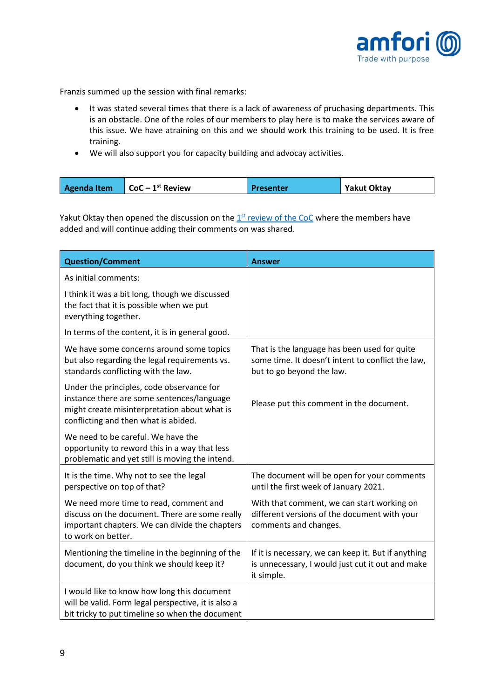

Franzis summed up the session with final remarks:

- It was stated several times that there is a lack of awareness of pruchasing departments. This is an obstacle. One of the roles of our members to play here is to make the services aware of this issue. We have atraining on this and we should work this training to be used. It is free training.
- We will also support you for capacity building and advocay activities.

| Agenda Item<br>$\blacksquare$ CoC – 1 <sup>st</sup> Review<br><b>Yakut Oktay</b><br>Presenter |
|-----------------------------------------------------------------------------------------------|
|-----------------------------------------------------------------------------------------------|

Yakut Oktay then opened the discussion on the 1<sup>st</sup> [review of the CoC](https://foreigntradeassociation.sharepoint.com/:w:/r/sites/PGC/_layouts/15/Doc.aspx?sourcedoc=%7BF5783C7F-1192-44A1-BD0A-727D17702299%7D&file=2020_SP_amfori%20Social%20CoC%20v.2021.docx&action=default&mobileredirect=true) where the members have added and will continue adding their comments on was shared.

| <b>Question/Comment</b>                                                                                                                                                         | <b>Answer</b>                                                                                                                  |
|---------------------------------------------------------------------------------------------------------------------------------------------------------------------------------|--------------------------------------------------------------------------------------------------------------------------------|
| As initial comments:                                                                                                                                                            |                                                                                                                                |
| I think it was a bit long, though we discussed<br>the fact that it is possible when we put<br>everything together.                                                              |                                                                                                                                |
| In terms of the content, it is in general good.                                                                                                                                 |                                                                                                                                |
| We have some concerns around some topics<br>but also regarding the legal requirements vs.<br>standards conflicting with the law.                                                | That is the language has been used for quite<br>some time. It doesn't intent to conflict the law,<br>but to go beyond the law. |
| Under the principles, code observance for<br>instance there are some sentences/language<br>might create misinterpretation about what is<br>conflicting and then what is abided. | Please put this comment in the document.                                                                                       |
| We need to be careful. We have the<br>opportunity to reword this in a way that less<br>problematic and yet still is moving the intend.                                          |                                                                                                                                |
| It is the time. Why not to see the legal<br>perspective on top of that?                                                                                                         | The document will be open for your comments<br>until the first week of January 2021.                                           |
| We need more time to read, comment and<br>discuss on the document. There are some really<br>important chapters. We can divide the chapters<br>to work on better.                | With that comment, we can start working on<br>different versions of the document with your<br>comments and changes.            |
| Mentioning the timeline in the beginning of the<br>document, do you think we should keep it?                                                                                    | If it is necessary, we can keep it. But if anything<br>is unnecessary, I would just cut it out and make<br>it simple.          |
| I would like to know how long this document<br>will be valid. Form legal perspective, it is also a<br>bit tricky to put timeline so when the document                           |                                                                                                                                |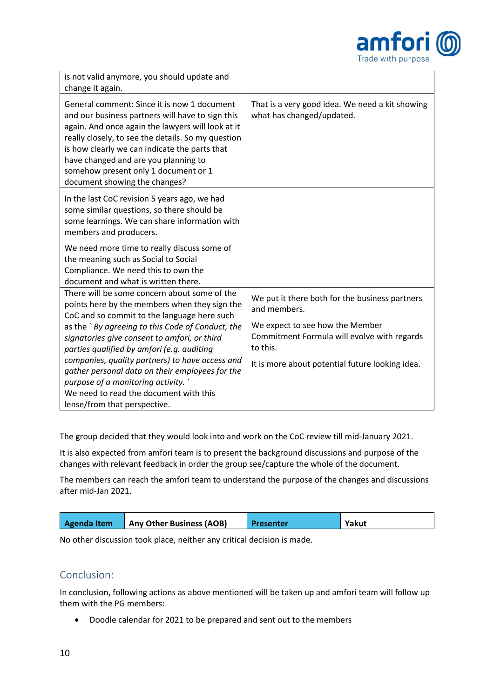

| is not valid anymore, you should update and<br>change it again.                                                                                                                                                                                                                                                                                                              |                                                                                                                                                                                                                 |
|------------------------------------------------------------------------------------------------------------------------------------------------------------------------------------------------------------------------------------------------------------------------------------------------------------------------------------------------------------------------------|-----------------------------------------------------------------------------------------------------------------------------------------------------------------------------------------------------------------|
| General comment: Since it is now 1 document<br>and our business partners will have to sign this<br>again. And once again the lawyers will look at it<br>really closely, to see the details. So my question<br>is how clearly we can indicate the parts that<br>have changed and are you planning to<br>somehow present only 1 document or 1<br>document showing the changes? | That is a very good idea. We need a kit showing<br>what has changed/updated.                                                                                                                                    |
| In the last CoC revision 5 years ago, we had<br>some similar questions, so there should be<br>some learnings. We can share information with<br>members and producers.                                                                                                                                                                                                        |                                                                                                                                                                                                                 |
| We need more time to really discuss some of<br>the meaning such as Social to Social<br>Compliance. We need this to own the<br>document and what is written there.                                                                                                                                                                                                            |                                                                                                                                                                                                                 |
| There will be some concern about some of the<br>points here by the members when they sign the<br>CoC and so commit to the language here such<br>as the `By agreeing to this Code of Conduct, the<br>signatories give consent to amfori, or third<br>parties qualified by amfori (e.g. auditing<br>companies, quality partners) to have access and                            | We put it there both for the business partners<br>and members.<br>We expect to see how the Member<br>Commitment Formula will evolve with regards<br>to this.<br>It is more about potential future looking idea. |
| gather personal data on their employees for the<br>purpose of a monitoring activity.<br>We need to read the document with this<br>lense/from that perspective.                                                                                                                                                                                                               |                                                                                                                                                                                                                 |

The group decided that they would look into and work on the CoC review till mid-January 2021.

It is also expected from amfori team is to present the background discussions and purpose of the changes with relevant feedback in order the group see/capture the whole of the document.

The members can reach the amfori team to understand the purpose of the changes and discussions after mid-Jan 2021.

| Any Other Business (AOB)<br>Agenda Item<br>Yakut<br>Presenter |
|---------------------------------------------------------------|
|---------------------------------------------------------------|

No other discussion took place, neither any critical decision is made.

## Conclusion:

In conclusion, following actions as above mentioned will be taken up and amfori team will follow up them with the PG members:

• Doodle calendar for 2021 to be prepared and sent out to the members